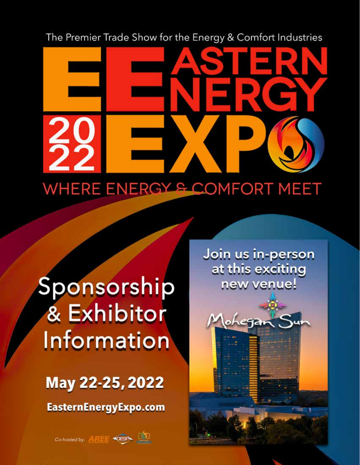The Premier Trade Show for the Energy & Comfort Industries

# WHERE ENERGY & COMFORT MEET

# Sponsorship & Exhibitor Information

# May 22-25, 2022

EasternEnergyExpo.com

Co-hosted by: 4 H + OESP

Join us in-person at this exciting new venue!

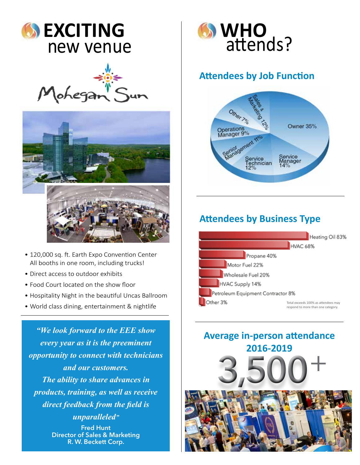





- 120,000 sq. ft. Earth Expo Convention Center All booths in one room, including trucks!
- Direct access to outdoor exhibits
- Food Court located on the show floor
- Hospitality Night in the beautiful Uncas Ballroom
- • World class dining, entertainment & nightlife

*"We look forward to the EEE show every year as it is the preeminent opportunity to connect with technicians and our customers. The ability to share advances in products, training, as well as receive direct feedback from the field is unparalleled"* Fred Hunt Director of Sales & Marketing R. W. Beckett Corp.



# **Attendees by Job Function**



# **Attendees by Business Type**



# **Average in-person attendance 2016-2019** +

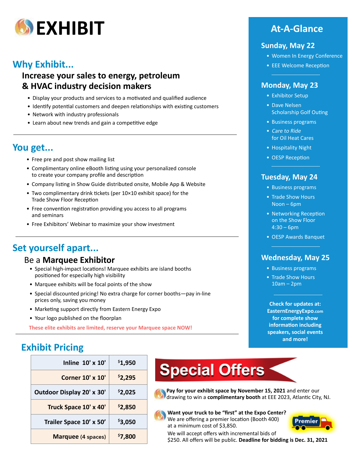

# **Why Exhibit...**

**Increase your sales to energy, petroleum & HVAC industry decision makers**

- Display your products and services to a motivated and qualified audience
- Identify potential customers and deepen relationships with existing customers
- Network with industry professionals
- Learn about new trends and gain a competitive edge

# **You get...**

- Free pre and post show mailing list
- Complimentary online eBooth listing using your personalized console to create your company profile and description
- Company listing in Show Guide distributed onsite, Mobile App & Website
- Two complimentary drink tickets (per 10×10 exhibit space) for the Trade Show Floor Reception
- Free convention registration providing you access to all programs and seminars
- Free Exhibitors' Webinar to maximize your show investment

# **Set yourself apart...**

# Be a **Marquee Exhibitor**

- Special high-impact locations! Marquee exhibits are island booths positioned for especially high visibility
- Marquee exhibits will be focal points of the show
- Special discounted pricing! No extra charge for corner booths—pay in-line prices only, saving you money
- Marketing support directly from Eastern Energy Expo
- Your logo published on the floorplan

**These elite exhibits are limited, reserve your Marquee space NOW!**

# **Sunday, May 22**

- Women In Energy Conference
- EEE Welcome Reception

# **Monday, May 23**

- Exhibitor Setup
- Dave Nelsen Scholarship Golf Outing
- Business programs
- Care to Ride for Oil Heat Cares
- Hospitality Night
- OESP Reception

# **Tuesday, May 24**

- Business programs
- Trade Show Hours Noon – 6pm
- Networking Reception on the Show Floor  $4:30 - 6$ pm
- OESP Awards Banquet

# **Wednesday, May 25**

- Business programs
- Trade Show Hours 10am – 2pm

**Check for updates at: EasternEnergyExpo.com for complete show information including speakers, social events and more!**

# **Exhibit Pricing**

| Inline 10' x 10'          | \$1,950 |
|---------------------------|---------|
| <b>Corner 10' x 10'</b>   | \$2,295 |
| Outdoor Display 20' x 30' | \$2,025 |
| Truck Space 10' x 40'     | \$2,850 |
| Trailer Space 10' x 50'   | \$3,050 |
| <b>Marquee</b> (4 spaces) | \$7,800 |



**Pay for your exhibit space by November 15, 2021** and enter our drawing to win a **complimentary booth** at EEE 2023, Atlantic City, NJ.

**Want your truck to be "first" at the Expo Center?** We are offering a premier location (Booth 400) at a minimum cost of \$3,850.



We will accept offers with incremental bids of \$250. All offers will be public. **Deadline for bidding is Dec. 31, 2021**

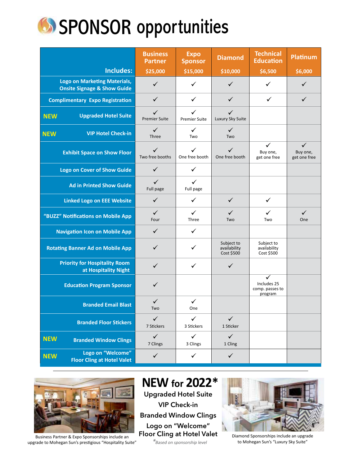

|                                                                               | <b>Business</b><br><b>Partner</b>    | <b>Expo</b><br><b>Sponsor</b> | <b>Diamond</b>                           | <b>Technical</b><br><b>Education</b>           | <b>Platinum</b>                          |
|-------------------------------------------------------------------------------|--------------------------------------|-------------------------------|------------------------------------------|------------------------------------------------|------------------------------------------|
| <b>Includes:</b>                                                              | \$25,000                             | \$15,000                      | \$10,000                                 | \$6,500                                        | \$6,000                                  |
| <b>Logo on Marketing Materials,</b><br><b>Onsite Signage &amp; Show Guide</b> | $\checkmark$                         | ✓                             | $\checkmark$                             | ✓                                              | ✓                                        |
| <b>Complimentary Expo Registration</b>                                        | $\checkmark$                         | $\checkmark$                  | ✓                                        | ✓                                              | ✓                                        |
| <b>Upgraded Hotel Suite</b><br><b>NEW</b>                                     | $\checkmark$<br><b>Premier Suite</b> | ✓<br><b>Premier Suite</b>     | ✓<br>Luxury Sky Suite                    |                                                |                                          |
| <b>VIP Hotel Check-in</b><br><b>NEW</b>                                       | $\checkmark$<br>Three                | ✓<br>Two                      | ✓<br>Two                                 |                                                |                                          |
| <b>Exhibit Space on Show Floor</b>                                            | ✓<br>Two free booths                 | ✓<br>One free booth           | ✓<br>One free booth                      | ✓<br>Buy one,<br>get one free                  | $\checkmark$<br>Buy one,<br>get one free |
| <b>Logo on Cover of Show Guide</b>                                            | $\checkmark$                         | ✓                             |                                          |                                                |                                          |
| <b>Ad in Printed Show Guide</b>                                               | ✓<br>Full page                       | ✓<br>Full page                |                                          |                                                |                                          |
| <b>Linked Logo on EEE Website</b>                                             | $\checkmark$                         | ✓                             | ✓                                        | ✓                                              |                                          |
| "BUZZ" Notifications on Mobile App                                            | $\checkmark$<br>Four                 | ✓<br>Three                    | ✓<br>Two                                 | ✓<br>Two                                       | ✓<br>One                                 |
| <b>Navigation Icon on Mobile App</b>                                          | $\checkmark$                         | $\checkmark$                  |                                          |                                                |                                          |
| <b>Rotating Banner Ad on Mobile App</b>                                       | $\checkmark$                         | ✓                             | Subject to<br>availability<br>Cost \$500 | Subject to<br>availability<br>Cost \$500       |                                          |
| <b>Priority for Hospitality Room</b><br>at Hospitality Night                  | ✓                                    | ✓                             | ✓                                        |                                                |                                          |
| <b>Education Program Sponsor</b>                                              | $\checkmark$                         |                               |                                          | ✓<br>Includes 25<br>comp. passes to<br>program |                                          |
| <b>Branded Email Blast</b>                                                    | ✓<br>Two                             | ✓<br>One                      |                                          |                                                |                                          |
| <b>Branded Floor Stickers</b>                                                 | $\checkmark$<br>7 Stickers           | $\checkmark$<br>3 Stickers    | $\checkmark$<br>1 Sticker                |                                                |                                          |
| <b>NEW</b><br><b>Branded Window Clings</b>                                    | $\checkmark$<br>7 Clings             | ✓<br>3 Clings                 | $\checkmark$<br>1 Cling                  |                                                |                                          |
| Logo on "Welcome"<br><b>NEW</b><br><b>Floor Cling at Hotel Valet</b>          | $\checkmark$                         | $\checkmark$                  | $\checkmark$                             |                                                |                                          |



Business Partner & Expo Sponsorships include an upgrade to Mohegan Sun's prestigious "Hospitality Suite"

**NEW for 2022\*** Upgraded Hotel Suite VIP Check-in Branded Window Clings Logo on "Welcome" Floor Cling at Hotel Valet

\*Based on sponsorship level



Diamond Sponsorships include an upgrade to Mohegan Sun's "Luxury Sky Suite"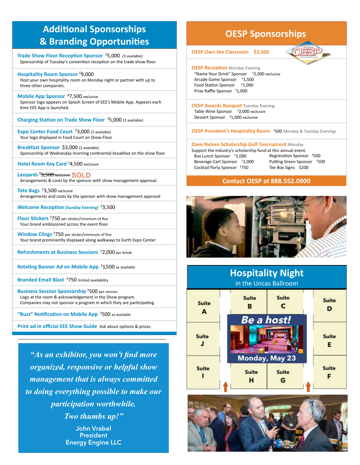# **Additional Sponsorships & Branding Opportunities**

**Trade Show Floor Reception Sponsor** \$ 5,000 (3 available) Sponsorship of Tuesday's convention reception on the trade show floor.

**Hospitality Room Sponsor** \$ 9,000 Host your own hospitality room on Monday night or partner with up to three other companies.

**Mobile App Sponsor** \$ 7,500 exclusive Sponsor logo appears on Splash Screen of EEE's Mobile App. Appears each time EEE App is launched.

**Charging Station on Trade Show Floor** \$ 5,000 (3 available)

**Expo Center Food Court** \$ 3,000 (3 available) Your logo displayed in Food Court on Show Floor

**Breakfast Sponsor** \$3,000 (3 available) Sponsorship of Wednesday morning continental breakfast on the show floor

**Hotel Room Key Card<sup>\$</sup>4,500** exclusive

**Lanyards** \$ 3,500 exclusive **SOLD** Arrangements & costs by the sponsor with show management approval.

**Tote Bags** \$ 3,500 exclusive Arrangements and costs by the sponsor with show management approval

**Welcome Reception (Sunday Evening)** \$ 3,500

**Floor Stickers** \$ 750 per sticker/minimum of five Your brand emblazoned across the event floor

**Window Clings** \$ 750 per sticker/minimum of five Your brand prominently displayed along walkways to Earth Expo Center

**Refreshments at Business Sessions** \$ 2,000 per break

**Rotating Banner Ad on Mobile App** \$ 1,500 as available

**Branded Email Blast** \$ 750 limited availability

**Business Session Sponsorship** \$ 500 per session Logo at the room & acknowledgement in the Show program. Companies may not sponsor a program in which they are participating.

**"Buzz" Notification on Mobile App** \$ 500 as available

**Print ad in official EEE Show Guide** Ask about options & prices

*"As an exhibitor, you won't find more organized, responsive or helpful show management that is always committed to doing everything possible to make our participation worthwhile. Two thumbs up!"* John Vrabel **President** 

Energy Engine LLC

# **OESP Sponsorships**

**OESP Own the Classroom \$2,500**



**OESP Reception** Monday Evening "Name Your Drink" Sponsor <sup>\$</sup>2,000 exclusive Arcade Game Sponsor \$1,500 Food Station Sponsor \$1,000 Prize Raffle Sponsor \$1,000

**OESP Awards Banquet** Tuesday Evening Table Wine Sponsor <sup>\$</sup>2,000 exclusive Dessert Sponsor \$1,000 exclusive

**OESP President's Hospitality Room** \$ 500 Monday & Tuesday Evenings

## **Dave Nelsen Scholarship Golf Tournament** Monday

Support the industry's scholarship fund at this annual event. Box Lunch Sponsor \$1,000 Beverage Cart Sponsor \$1,000 Cocktail Party Sponsor \$750

Registration Sponsor \$ 500 Putting Green Sponsor \$500 Tee Box Signs \$200

# **Contact OESP at 888.552.0900**